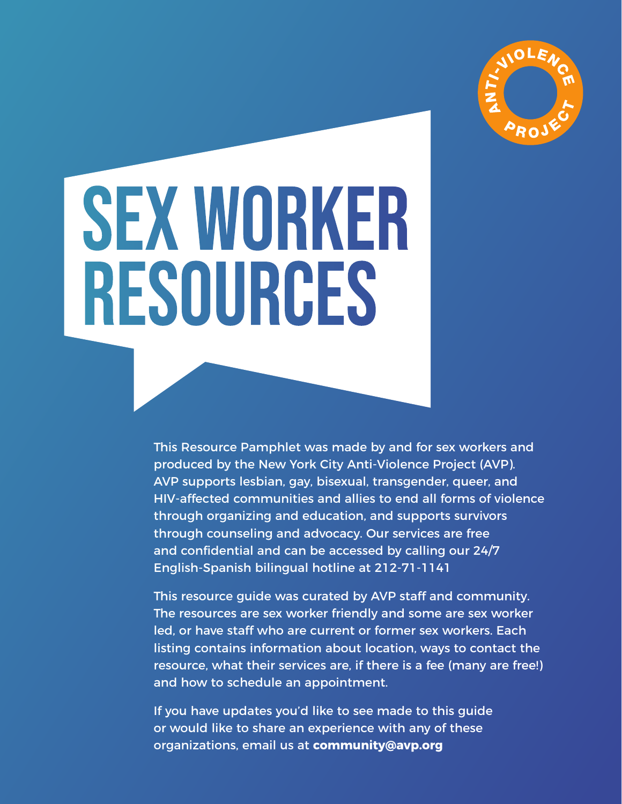

# Sex Worker Resources

This Resource Pamphlet was made by and for sex workers and produced by the New York City Anti-Violence Project (AVP). AVP supports lesbian, gay, bisexual, transgender, queer, and HIV-affected communities and allies to end all forms of violence through organizing and education, and supports survivors through counseling and advocacy. Our services are free and confidential and can be accessed by calling our 24/7 English-Spanish bilingual hotline at 212-71-1141

This resource guide was curated by AVP staff and community. The resources are sex worker friendly and some are sex worker led, or have staff who are current or former sex workers. Each listing contains information about location, ways to contact the resource, what their services are, if there is a fee (many are free!) and how to schedule an appointment.

If you have updates you'd like to see made to this guide or would like to share an experience with any of these organizations, email us at **community@avp.org**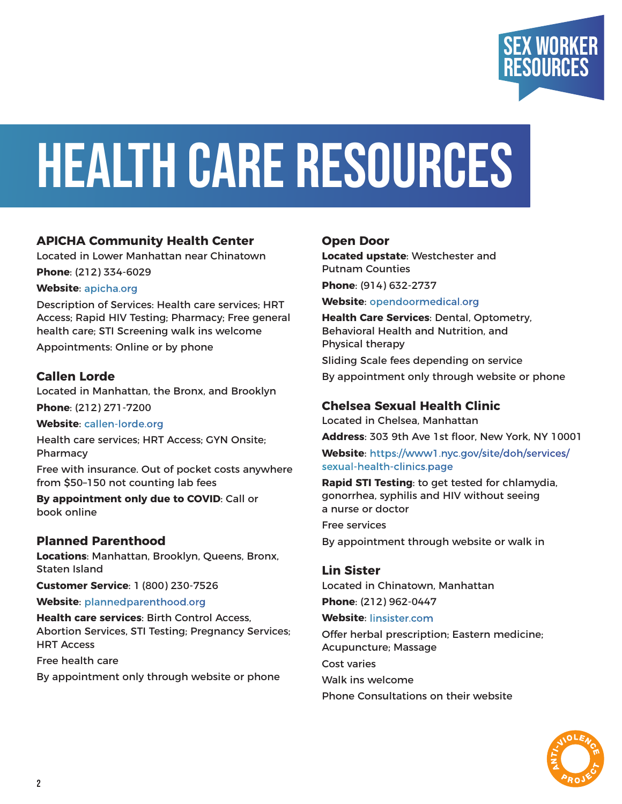

## Health Care Resources

#### **APICHA Community Health Center**

Located in Lower Manhattan near Chinatown

**Phone**: (212) 334-6029

#### **Website**: [apicha.org](http://apicha.org)

Description of Services: Health care services; HRT Access; Rapid HIV Testing; Pharmacy; Free general health care; STI Screening walk ins welcome

Appointments: Online or by phone

#### **Callen Lorde**

Located in Manhattan, the Bronx, and Brooklyn **Phone**: (212) 271-7200

#### **Website**: [callen-lorde.org](http://callen-lorde.org)

Health care services; HRT Access; GYN Onsite; Pharmacy

Free with insurance. Out of pocket costs anywhere from \$50–150 not counting lab fees

**By appointment only due to COVID**: Call or book online

#### **Planned Parenthood**

**Locations**: Manhattan, Brooklyn, Queens, Bronx, Staten Island

**Customer Service**: 1 (800) 230-7526

#### **Website**: [plannedparenthood.org](http://plannedparenthood.org)

**Health care services**: Birth Control Access, Abortion Services, STI Testing; Pregnancy Services; HRT Access

Free health care

By appointment only through website or phone

#### **Open Door**

**Located upstate**: Westchester and Putnam Counties **Phone**: (914) 632-2737

**Website**: [opendoormedical.org](http://opendoormedical.org)

**Health Care Services**: Dental, Optometry, Behavioral Health and Nutrition, and Physical therapy Sliding Scale fees depending on service By appointment only through website or phone

#### **Chelsea Sexual Health Clinic**

Located in Chelsea, Manhattan

**Address**: 303 9th Ave 1st floor, New York, NY 10001 **Website**: [https://www1.nyc.gov/site/doh/services/](https://www1.nyc.gov/site/doh/services/sexual-health-clinics.page) [sexual-health-clinics.page](https://www1.nyc.gov/site/doh/services/sexual-health-clinics.page)

**Rapid STI Testing**: to get tested for chlamydia, gonorrhea, syphilis and HIV without seeing a nurse or doctor

Free services By appointment through website or walk in

**Lin Sister** Located in Chinatown, Manhattan

**Phone**: (212) 962-0447

**Website**: [linsister.com](http://linsister.com)

Offer herbal prescription; Eastern medicine; Acupuncture; Massage

Cost varies Walk ins welcome

Phone Consultations on their website

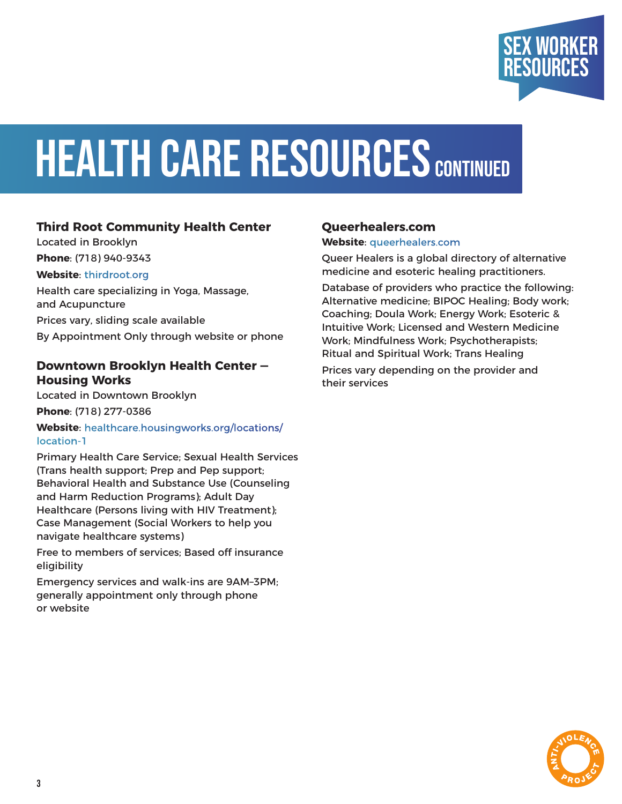

## **HEALTH CARE RESOURCES CONTINUED**

#### **Third Root Community Health Center**

Located in Brooklyn **Phone**: (718) 940-9343

#### **Website**: [thirdroot.org](http://thirdroot.org)

Health care specializing in Yoga, Massage, and Acupuncture Prices vary, sliding scale available By Appointment Only through website or phone

#### **Downtown Brooklyn Health Center — Housing Works**

Located in Downtown Brooklyn **Phone**: (718) 277-0386

**Website**: [healthcare.housingworks.org/locations/](http://healthcare.housingworks.org/locations/location-1) [location-1](http://healthcare.housingworks.org/locations/location-1)

Primary Health Care Service; Sexual Health Services (Trans health support; Prep and Pep support; Behavioral Health and Substance Use (Counseling and Harm Reduction Programs); Adult Day Healthcare (Persons living with HIV Treatment); Case Management (Social Workers to help you navigate healthcare systems)

Free to members of services; Based off insurance eligibility

Emergency services and walk-ins are 9AM–3PM; generally appointment only through phone or website

#### **Queerhealers.com**

#### **Website**: [queerhealers.com](http://queerhealers.com)

Queer Healers is a global directory of alternative medicine and esoteric healing practitioners.

Database of providers who practice the following: Alternative medicine; BIPOC Healing; Body work; Coaching; Doula Work; Energy Work; Esoteric & Intuitive Work; Licensed and Western Medicine Work; Mindfulness Work; Psychotherapists; Ritual and Spiritual Work; Trans Healing

Prices vary depending on the provider and their services

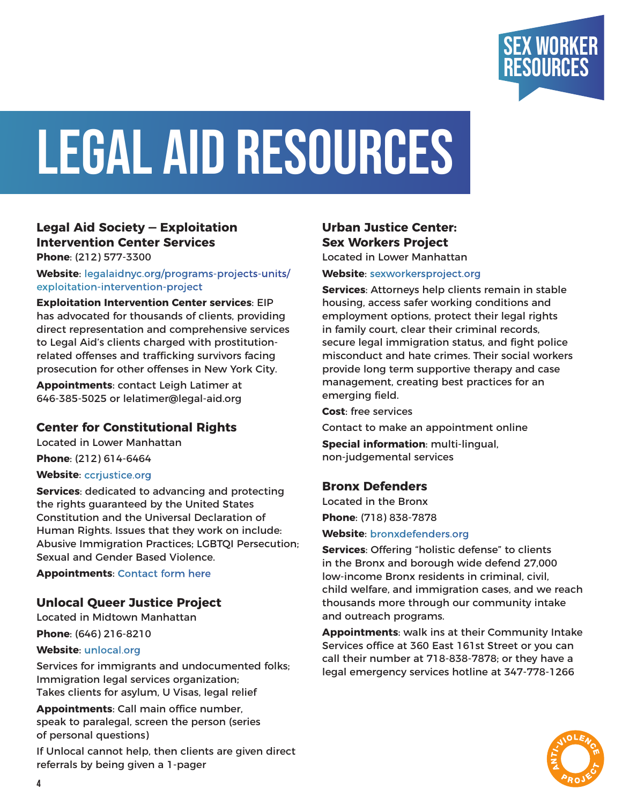

## Legal aid Resources

#### **Legal Aid Society — Exploitation Intervention Center Services**

**Phone**: (212) 577-3300

**Website**: [legalaidnyc.org/programs-projects-units/](http://legalaidnyc.org/programs-projects-units/exploitation-intervention-project) [exploitation-intervention-project](http://legalaidnyc.org/programs-projects-units/exploitation-intervention-project)

**Exploitation Intervention Center services**: EIP has advocated for thousands of clients, providing direct representation and comprehensive services to Legal Aid's clients charged with prostitutionrelated offenses and trafficking survivors facing prosecution for other offenses in New York City.

**Appointments**: contact Leigh Latimer at 646-385-5025 or lelatimer@legal-aid.org

#### **Center for Constitutional Rights**

Located in Lower Manhattan **Phone**: (212) 614-6464

#### **Website**: [ccrjustice.org](http://ccrjustice.org)

**Services**: dedicated to advancing and protecting the rights guaranteed by the United States Constitution and the Universal Declaration of Human Rights. Issues that they work on include: Abusive Immigration Practices; LGBTQI Persecution; Sexual and Gender Based Violence.

**Appointments**: [Contact form here](https://ccrjustice.org/home/who-we-are/contacting-center-constitutional-rights)

#### **Unlocal Queer Justice Project**

Located in Midtown Manhattan

**Phone**: (646) 216-8210

#### **Website**: [unlocal.org](http://unlocal.org)

Services for immigrants and undocumented folks; Immigration legal services organization; Takes clients for asylum, U Visas, legal relief

**Appointments**: Call main office number, speak to paralegal, screen the person (series of personal questions)

If Unlocal cannot help, then clients are given direct referrals by being given a 1-pager

#### **Urban Justice Center: Sex Workers Project**

Located in Lower Manhattan

#### **Website**: [sexworkersproject.org](http://sexworkersproject.org)

**Services**: Attorneys help clients remain in stable housing, access safer working conditions and employment options, protect their legal rights in family court, clear their criminal records, secure legal immigration status, and fight police misconduct and hate crimes. Their social workers provide long term supportive therapy and case management, creating best practices for an emerging field.

**Cost**: free services

Contact to make an appointment online

**Special information**: multi-lingual, non-judgemental services

#### **Bronx Defenders**

Located in the Bronx

**Phone**: (718) 838-7878

#### **Website**: [bronxdefenders.org](http://bronxdefenders.org)

**Services**: Offering "holistic defense" to clients in the Bronx and borough wide defend 27,000 low-income Bronx residents in criminal, civil, child welfare, and immigration cases, and we reach thousands more through our community intake and outreach programs.

**Appointments**: walk ins at their Community Intake Services office at 360 East 161st Street or you can call their number at 718-838-7878; or they have a legal emergency services hotline at 347-778-1266

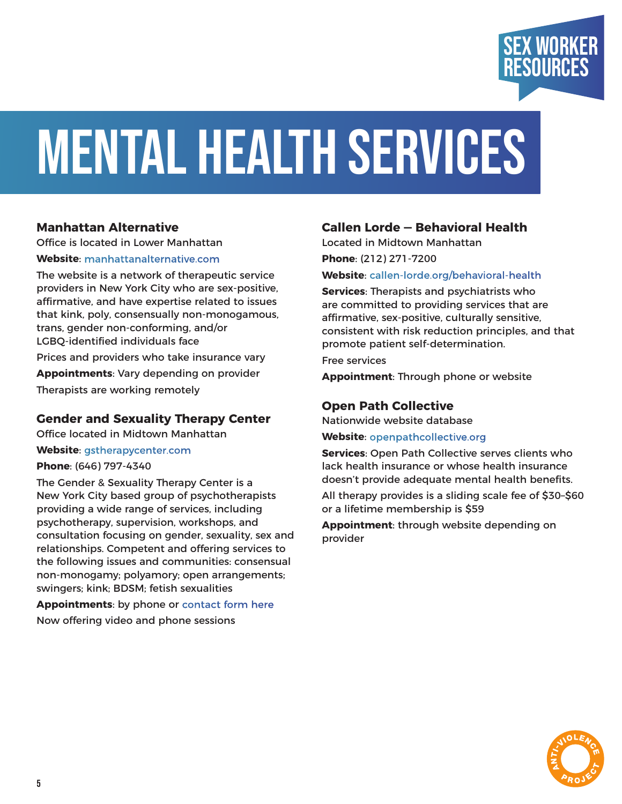

## Mental Health SeRvices

#### **Manhattan Alternative**

Office is located in Lower Manhattan

#### **Website**: [manhattanalternative.com](http://manhattanalternative.com)

The website is a network of therapeutic service providers in New York City who are sex-positive, affirmative, and have expertise related to issues that kink, poly, consensually non-monogamous, trans, gender non-conforming, and/or LGBQ-identified individuals face Prices and providers who take insurance vary **Appointments**: Vary depending on provider Therapists are working remotely

#### **Gender and Sexuality Therapy Center**

Office located in Midtown Manhattan

**Website**: [gstherapycenter.com](http://gstherapycenter.com)

#### **Phone**: (646) 797-4340

The Gender & Sexuality Therapy Center is a New York City based group of psychotherapists providing a wide range of services, including psychotherapy, supervision, workshops, and consultation focusing on gender, sexuality, sex and relationships. Competent and offering services to the following issues and communities: consensual non-monogamy; polyamory; open arrangements; swingers; kink; BDSM; fetish sexualities

**Appointments**: by phone or [contact form here](https://fs28.formsite.com/bcss/gstc-schedule/index.html) Now offering video and phone sessions

#### **Callen Lorde — Behavioral Health**

Located in Midtown Manhattan

**Phone**: (212) 271-7200

#### **Website**: [callen-lorde.org/behavioral-health](http://callen-lorde.org/behavioral-health)

**Services**: Therapists and psychiatrists who are committed to providing services that are affirmative, sex-positive, culturally sensitive, consistent with risk reduction principles, and that promote patient self-determination.

Free services

**Appointment**: Through phone or website

#### **Open Path Collective**

Nationwide website database

**Website**: [openpathcollective.org](http://openpathcollective.org)

**Services**: Open Path Collective serves clients who lack health insurance or whose health insurance doesn't provide adequate mental health benefits.

All therapy provides is a sliding scale fee of \$30–\$60 or a lifetime membership is \$59

**Appointment**: through website depending on provider

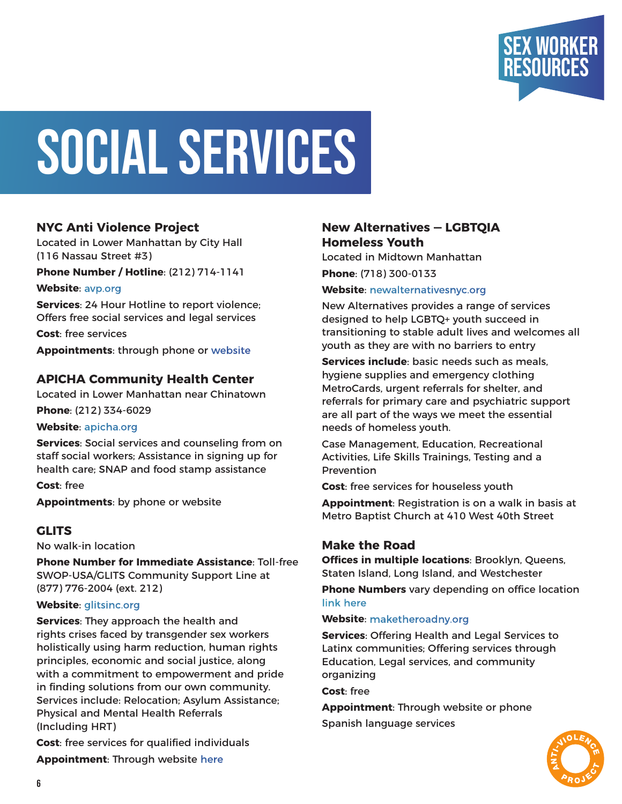

## SOCIAL SERVICES

#### **NYC Anti Violence Project**

Located in Lower Manhattan by City Hall (116 Nassau Street #3)

**Phone Number / Hotline**: (212) 714-1141

**Website**: [avp.org](http://avp.org)

**Services**: 24 Hour Hotline to report violence; Offers free social services and legal services

**Cost**: free services

**Appointments**: through phone or [website](https://avp.org/contact-us/)

#### **APICHA Community Health Center**

Located in Lower Manhattan near Chinatown **Phone**: (212) 334-6029

**Website**: [apicha.org](http://apicha.org)

**Services**: Social services and counseling from on staff social workers; Assistance in signing up for health care; SNAP and food stamp assistance

**Cost**: free **Appointments**: by phone or website

#### **GLITS**

No walk-in location

**Phone Number for Immediate Assistance**: Toll-free SWOP-USA/GLITS Community Support Line at (877) 776-2004 (ext. 212)

#### **Website**: [glitsinc.org](http://glitsinc.org)

**Services**: They approach the health and rights crises faced by transgender sex workers holistically using harm reduction, human rights principles, economic and social justice, along with a commitment to empowerment and pride in finding solutions from our own community. Services include: Relocation; Asylum Assistance; Physical and Mental Health Referrals (Including HRT)

**Cost**: free services for qualified individuals **Appointment**: Through website [here](https://www.glitsinc.org/contact-us)

#### **New Alternatives — LGBTQIA Homeless Youth**

Located in Midtown Manhattan **Phone**: (718) 300-0133

**Website**: [newalternativesnyc.org](http://newalternativesnyc.org)

New Alternatives provides a range of services designed to help LGBTQ+ youth succeed in transitioning to stable adult lives and welcomes all youth as they are with no barriers to entry

**Services include**: basic needs such as meals, hygiene supplies and emergency clothing MetroCards, urgent referrals for shelter, and referrals for primary care and psychiatric support are all part of the ways we meet the essential needs of homeless youth.

Case Management, Education, Recreational Activities, Life Skills Trainings, Testing and a Prevention

**Cost**: free services for houseless youth

**Appointment**: Registration is on a walk in basis at Metro Baptist Church at 410 West 40th Street

#### **Make the Road**

**Offices in multiple locations**: Brooklyn, Queens, Staten Island, Long Island, and Westchester

**Phone Numbers** vary depending on office location [link here](https://maketheroadny.org/contact/)

#### **Website**: [maketheroadny.org](http://maketheroadny.org)

**Services**: Offering Health and Legal Services to Latinx communities; Offering services through Education, Legal services, and community organizing

**Cost**: free

**Appointment**: Through website or phone Spanish language services

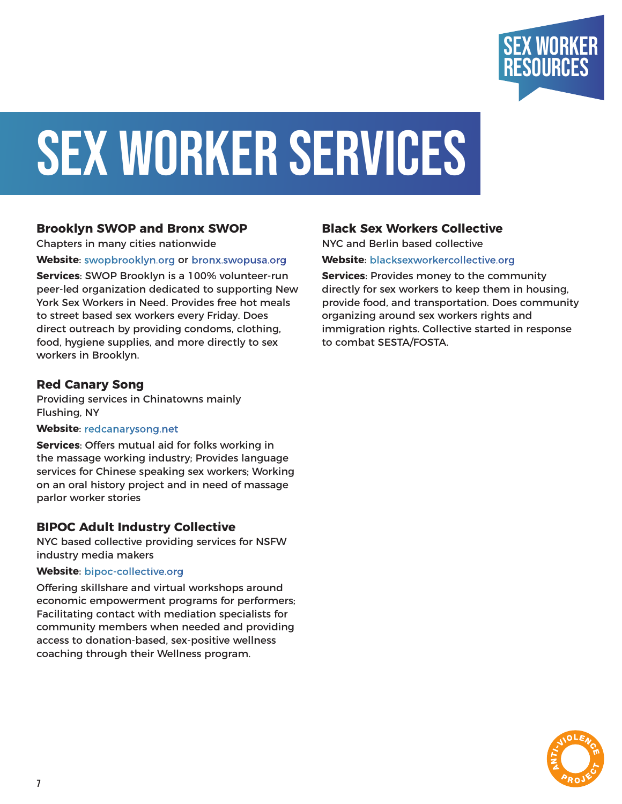

## SEX WORKER SERVICES

#### **Brooklyn SWOP and Bronx SWOP**

Chapters in many cities nationwide

**Website**: [swopbrooklyn.org](http://swopbrooklyn.org) or [bronx.swopusa.org](http://bronx.swopusa.org)

**Services**: SWOP Brooklyn is a 100% volunteer-run peer-led organization dedicated to supporting New York Sex Workers in Need. Provides free hot meals to street based sex workers every Friday. Does direct outreach by providing condoms, clothing, food, hygiene supplies, and more directly to sex workers in Brooklyn.

#### **Red Canary Song**

Providing services in Chinatowns mainly Flushing, NY

#### **Website**: [redcanarysong.net](http://redcanarysong.net)

**Services**: Offers mutual aid for folks working in the massage working industry; Provides language services for Chinese speaking sex workers; Working on an oral history project and in need of massage parlor worker stories

#### **BIPOC Adult Industry Collective**

NYC based collective providing services for NSFW industry media makers

#### **Website**: [bipoc-collective.org](http://bipoc-collective.org)

Offering skillshare and virtual workshops around economic empowerment programs for performers; Facilitating contact with mediation specialists for community members when needed and providing access to donation-based, sex-positive wellness coaching through their Wellness program.

#### **Black Sex Workers Collective**

NYC and Berlin based collective **Website**: [blacksexworkercollective.org](http://blacksexworkercollective.org)

**Services**: Provides money to the community directly for sex workers to keep them in housing, provide food, and transportation. Does community organizing around sex workers rights and immigration rights. Collective started in response to combat SESTA/FOSTA.

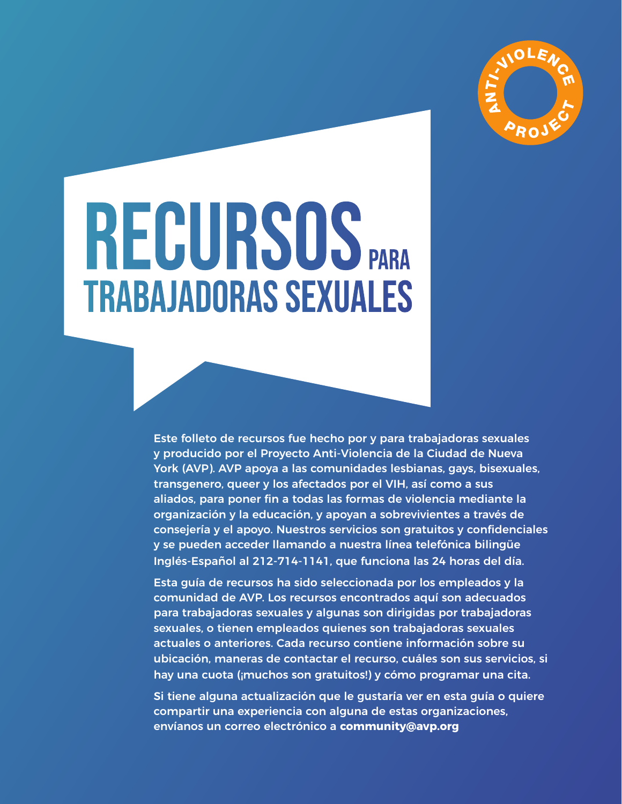

## RECURSOS PARA Trabajadoras Sexuales

Este folleto de recursos fue hecho por y para trabajadoras sexuales y producido por el Proyecto Anti-Violencia de la Ciudad de Nueva York (AVP). AVP apoya a las comunidades lesbianas, gays, bisexuales, transgenero, queer y los afectados por el VIH, así como a sus aliados, para poner fin a todas las formas de violencia mediante la organización y la educación, y apoyan a sobrevivientes a través de consejería y el apoyo. Nuestros servicios son gratuitos y confidenciales y se pueden acceder llamando a nuestra línea telefónica bilingüe Inglés-Español al 212-714-1141, que funciona las 24 horas del día.

Esta guía de recursos ha sido seleccionada por los empleados y la comunidad de AVP. Los recursos encontrados aquí son adecuados para trabajadoras sexuales y algunas son dirigidas por trabajadoras sexuales, o tienen empleados quienes son trabajadoras sexuales actuales o anteriores. Cada recurso contiene información sobre su ubicación, maneras de contactar el recurso, cuáles son sus servicios, si hay una cuota (¡muchos son gratuitos!) y cómo programar una cita.

Si tiene alguna actualización que le gustaría ver en esta guía o quiere compartir una experiencia con alguna de estas organizaciones, envíanos un correo electrónico a **community@avp.org**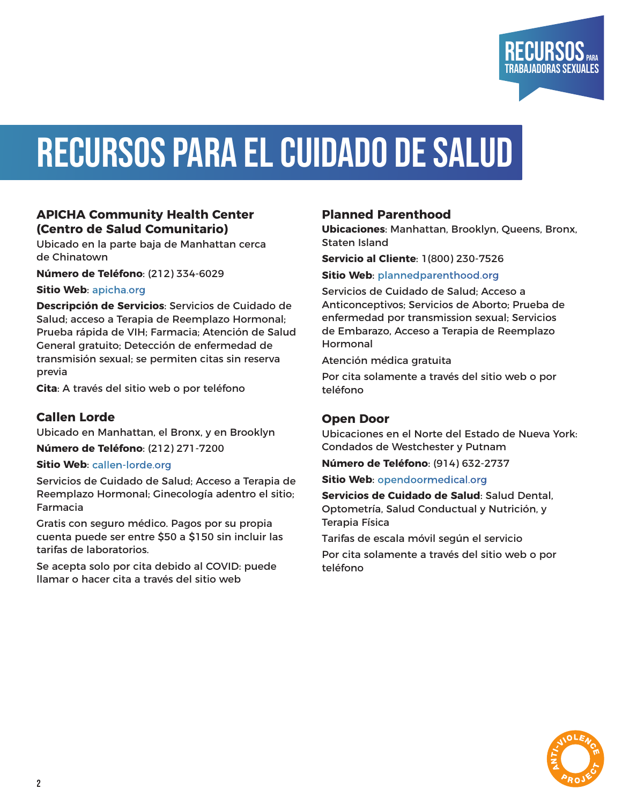

### Recursos para el Cuidado de Salud

#### **APICHA Community Health Center (Centro de Salud Comunitario)**

Ubicado en la parte baja de Manhattan cerca de Chinatown

**Número de Teléfono**: (212) 334-6029

**Sitio Web**: [apicha.org](http://apicha.org)

**Descripción de Servicios**: Servicios de Cuidado de Salud; acceso a Terapia de Reemplazo Hormonal; Prueba rápida de VIH; Farmacia; Atención de Salud General gratuito; Detección de enfermedad de transmisión sexual; se permiten citas sin reserva previa

**Cita**: A través del sitio web o por teléfono

#### **Callen Lorde**

Ubicado en Manhattan, el Bronx, y en Brooklyn **Número de Teléfono**: (212) 271-7200

#### **Sitio Web**: [callen-lorde.org](http://callen-lorde.org)

Servicios de Cuidado de Salud; Acceso a Terapia de Reemplazo Hormonal; Ginecología adentro el sitio; Farmacia

Gratis con seguro médico. Pagos por su propia cuenta puede ser entre \$50 a \$150 sin incluir las tarifas de laboratorios.

Se acepta solo por cita debido al COVID: puede llamar o hacer cita a través del sitio web

#### **Planned Parenthood**

**Ubicaciones**: Manhattan, Brooklyn, Queens, Bronx, Staten Island

**Servicio al Cliente**: 1(800) 230-7526

#### **Sitio Web**: [plannedparenthood.org](http://plannedparenthood.org)

Servicios de Cuidado de Salud; Acceso a Anticonceptivos; Servicios de Aborto; Prueba de enfermedad por transmission sexual; Servicios de Embarazo, Acceso a Terapia de Reemplazo Hormonal

Atención médica gratuita

Por cita solamente a través del sitio web o por teléfono

#### **Open Door**

Ubicaciones en el Norte del Estado de Nueva York: Condados de Westchester y Putnam

**Número de Teléfono**: (914) 632-2737

**Sitio Web**: [opendoormedical.org](http://opendoormedical.org)

**Servicios de Cuidado de Salud**: Salud Dental, Optometría, Salud Conductual y Nutrición, y Terapia Física

Tarifas de escala móvil según el servicio

Por cita solamente a través del sitio web o por teléfono

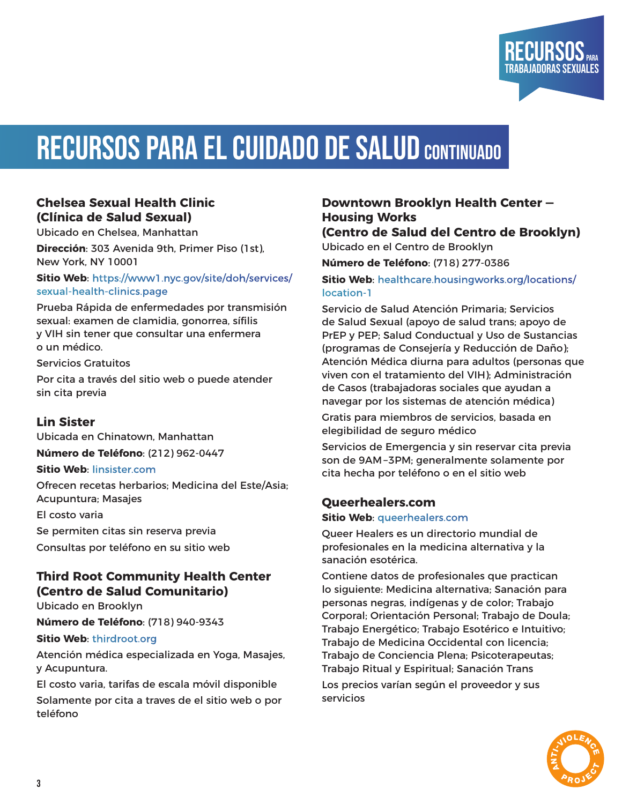

#### **Chelsea Sexual Health Clinic (Clínica de Salud Sexual)**

Ubicado en Chelsea, Manhattan

**Dirección**: 303 Avenida 9th, Primer Piso (1st), New York, NY 10001

**Sitio Web**: [https://www1.nyc.gov/site/doh/services/](https://www1.nyc.gov/site/doh/services/sexual-health-clinics.page) [sexual-health-clinics.page](https://www1.nyc.gov/site/doh/services/sexual-health-clinics.page)

Prueba Rápida de enfermedades por transmisión sexual: examen de clamidia, gonorrea, sífilis y VIH sin tener que consultar una enfermera o un médico.

Servicios Gratuitos

Por cita a través del sitio web o puede atender sin cita previa

#### **Lin Sister**

Ubicada en Chinatown, Manhattan **Número de Teléfono**: (212) 962-0447

#### **Sitio Web**: [linsister.com](http://linsister.com)

Ofrecen recetas herbarios; Medicina del Este/Asia; Acupuntura; Masajes

El costo varia

Se permiten citas sin reserva previa Consultas por teléfono en su sitio web

#### **Third Root Community Health Center (Centro de Salud Comunitario)**

Ubicado en Brooklyn

**Número de Teléfono**: (718) 940-9343

#### **Sitio Web**: [thirdroot.org](http://thirdroot.org)

Atención médica especializada en Yoga, Masajes, y Acupuntura.

El costo varia, tarifas de escala móvil disponible Solamente por cita a traves de el sitio web o por teléfono

#### **Downtown Brooklyn Health Center — Housing Works**

RECURSOS Trabajadoras Sexuales

**(Centro de Salud del Centro de Brooklyn)** Ubicado en el Centro de Brooklyn

**Número de Teléfono**: (718) 277-0386

**Sitio Web**: [healthcare.housingworks.org/locations/](http://healthcare.housingworks.org/locations/location-1) [location-1](http://healthcare.housingworks.org/locations/location-1)

Servicio de Salud Atención Primaria; Servicios de Salud Sexual (apoyo de salud trans; apoyo de PrEP y PEP; Salud Conductual y Uso de Sustancias (programas de Consejería y Reducción de Daño); Atención Médica diurna para adultos (personas que viven con el tratamiento del VIH); Administración de Casos (trabajadoras sociales que ayudan a navegar por los sistemas de atención médica)

Gratis para miembros de servicios, basada en elegibilidad de seguro médico

Servicios de Emergencia y sin reservar cita previa son de 9AM –3PM; generalmente solamente por cita hecha por teléfono o en el sitio web

#### **Queerhealers.com**

#### **Sitio Web**: [queerhealers.com](http://queerhealers.com)

Queer Healers es un directorio mundial de profesionales en la medicina alternativa y la sanación esotérica.

Contiene datos de profesionales que practican lo siguiente: Medicina alternativa; Sanación para personas negras, indígenas y de color; Trabajo Corporal; Orientación Personal; Trabajo de Doula; Trabajo Energético; Trabajo Esotérico e Intuitivo; Trabajo de Medicina Occidental con licencia; Trabajo de Conciencia Plena; Psicoterapeutas; Trabajo Ritual y Espiritual; Sanación Trans Los precios varían según el proveedor y sus

servicios

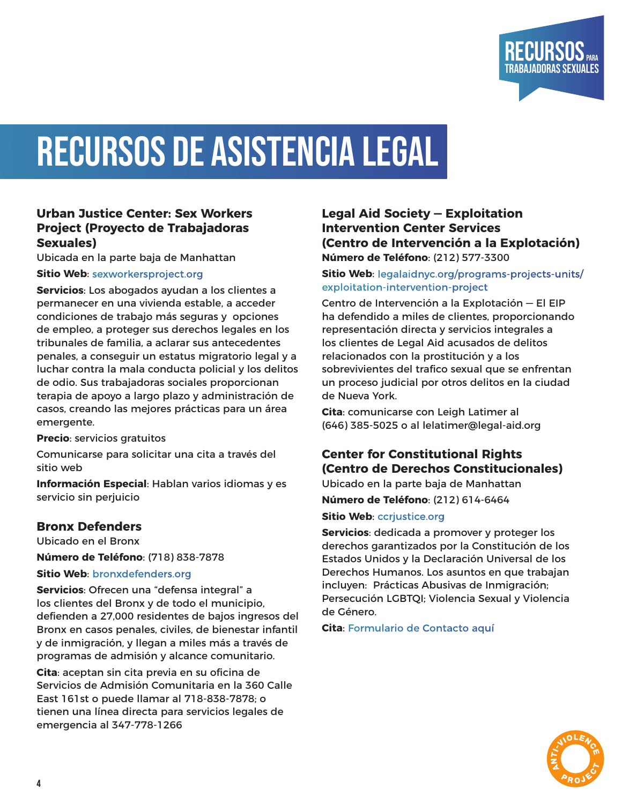

### RECURSOS DE ASISTENCIA LEGAL

#### **Urban Justice Center: Sex Workers Project (Proyecto de Trabajadoras Sexuales)**

Ubicada en la parte baja de Manhattan

#### **Sitio Web**: [sexworkersproject.org](http://sexworkersproject.org)

**Servicios**: Los abogados ayudan a los clientes a permanecer en una vivienda estable, a acceder condiciones de trabajo más seguras y opciones de empleo, a proteger sus derechos legales en los tribunales de familia, a aclarar sus antecedentes penales, a conseguir un estatus migratorio legal y a luchar contra la mala conducta policial y los delitos de odio. Sus trabajadoras sociales proporcionan terapia de apoyo a largo plazo y administración de casos, creando las mejores prácticas para un área emergente.

**Precio**: servicios gratuitos

Comunicarse para solicitar una cita a través del sitio web

**Información Especial**: Hablan varios idiomas y es servicio sin perjuicio

#### **Bronx Defenders**

Ubicado en el Bronx

**Número de Teléfono**: (718) 838-7878

#### **Sitio Web**: [bronxdefenders.org](http://bronxdefenders.org)

**Servicios**: Ofrecen una "defensa integral" a los clientes del Bronx y de todo el municipio, defienden a 27,000 residentes de bajos ingresos del Bronx en casos penales, civiles, de bienestar infantil y de inmigración, y llegan a miles más a través de programas de admisión y alcance comunitario.

**Cita**: aceptan sin cita previa en su oficina de Servicios de Admisión Comunitaria en la 360 Calle East 161st o puede llamar al 718-838-7878; o tienen una línea directa para servicios legales de emergencia al 347-778-1266

#### **Legal Aid Society — Exploitation Intervention Center Services (Centro de Intervención a la Explotación) Número de Teléfono**: (212) 577-3300

#### **Sitio Web**: [legalaidnyc.org/programs-projects-units/](http://legalaidnyc.org/programs-projects-units/exploitation-intervention-project) [exploitation-intervention-project](http://legalaidnyc.org/programs-projects-units/exploitation-intervention-project)

Centro de Intervención a la Explotación — El EIP ha defendido a miles de clientes, proporcionando representación directa y servicios integrales a los clientes de Legal Aid acusados de delitos relacionados con la prostitución y a los sobrevivientes del trafico sexual que se enfrentan un proceso judicial por otros delitos en la ciudad de Nueva York.

**Cita**: comunicarse con Leigh Latimer al (646) 385-5025 o al lelatimer@legal-aid.org

#### **Center for Constitutional Rights (Centro de Derechos Constitucionales)**

Ubicado en la parte baja de Manhattan

**Número de Teléfono**: (212) 614-6464

#### **Sitio Web: ccriustice.org**

**Servicios**: dedicada a promover y proteger los derechos garantizados por la Constitución de los Estados Unidos y la Declaración Universal de los Derechos Humanos. Los asuntos en que trabajan incluyen: Prácticas Abusivas de Inmigración; Persecución LGBTQI; Violencia Sexual y Violencia de Género.

**Cita**: [Formulario de Contacto aquí](https://ccrjustice.org/home/who-we-are/contacting-center-constitutional-rights)

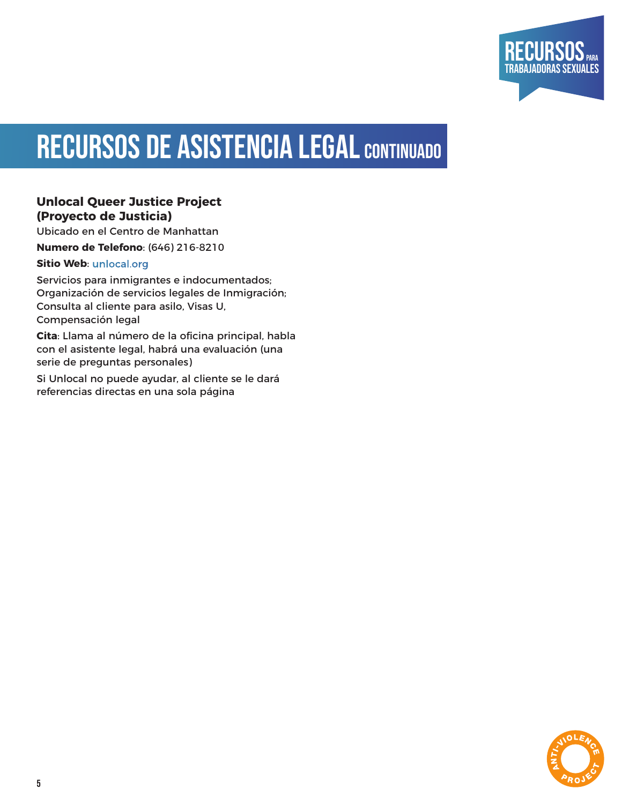

### RECURSOS DE ASISTENCIA LEGAL CONTINUADO

#### **Unlocal Queer Justice Project (Proyecto de Justicia)**

Ubicado en el Centro de Manhattan

**Numero de Telefono**: (646) 216-8210

#### **Sitio Web**: [unlocal.org](http://unlocal.org)

Servicios para inmigrantes e indocumentados; Organización de servicios legales de Inmigración; Consulta al cliente para asilo, Visas U, Compensación legal

**Cita**: Llama al número de la oficina principal, habla con el asistente legal, habrá una evaluación (una serie de preguntas personales)

Si Unlocal no puede ayudar, al cliente se le dará referencias directas en una sola página

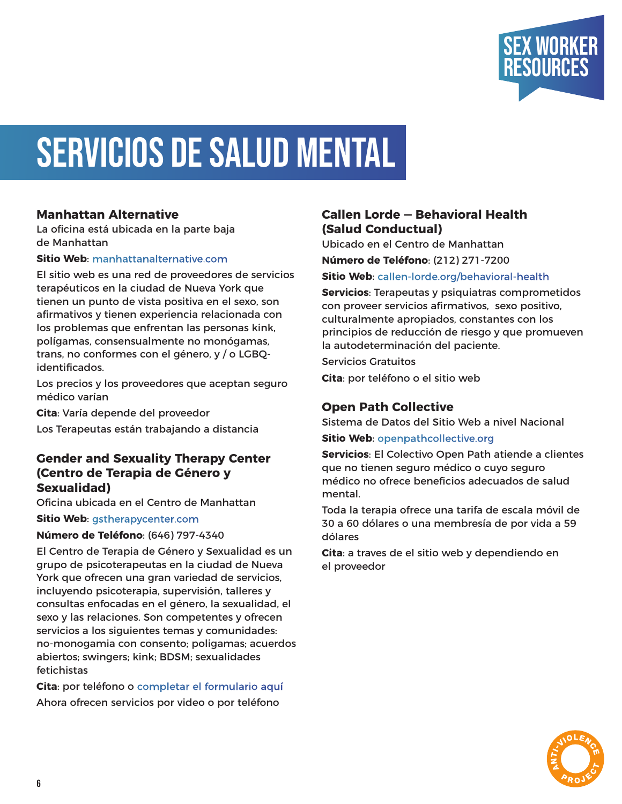

### Servicios de Salud Mental

#### **Manhattan Alternative**

La oficina está ubicada en la parte baja de Manhattan

#### **Sitio Web**: [manhattanalternative.com](http://manhattanalternative.com)

El sitio web es una red de proveedores de servicios terapéuticos en la ciudad de Nueva York que tienen un punto de vista positiva en el sexo, son afirmativos y tienen experiencia relacionada con los problemas que enfrentan las personas kink, polígamas, consensualmente no monógamas, trans, no conformes con el género, y / o LGBQidentificados.

Los precios y los proveedores que aceptan seguro médico varían

**Cita**: Varía depende del proveedor

Los Terapeutas están trabajando a distancia

#### **Gender and Sexuality Therapy Center (Centro de Terapia de Género y Sexualidad)**

Oficina ubicada en el Centro de Manhattan

**Sitio Web**: [gstherapycenter.com](http://gstherapycenter.com)

#### **Número de Teléfono**: (646) 797-4340

El Centro de Terapia de Género y Sexualidad es un grupo de psicoterapeutas en la ciudad de Nueva York que ofrecen una gran variedad de servicios, incluyendo psicoterapia, supervisión, talleres y consultas enfocadas en el género, la sexualidad, el sexo y las relaciones. Son competentes y ofrecen servicios a los siguientes temas y comunidades: no-monogamia con consento; poligamas; acuerdos abiertos; swingers; kink; BDSM; sexualidades fetichistas

**Cita**: por teléfono o [completar el formulario aquí](https://fs28.formsite.com/bcss/gstc-schedule/index.html) Ahora ofrecen servicios por video o por teléfono

#### **Callen Lorde — Behavioral Health (Salud Conductual)**

Ubicado en el Centro de Manhattan

**Número de Teléfono**: (212) 271-7200

#### **Sitio Web**: [callen-lorde.org/behavioral-health](http://callen-lorde.org/behavioral-health)

**Servicios**: Terapeutas y psiquiatras comprometidos con proveer servicios afirmativos, sexo positivo, culturalmente apropiados, constantes con los principios de reducción de riesgo y que promueven la autodeterminación del paciente.

Servicios Gratuitos

**Cita**: por teléfono o el sitio web

#### **Open Path Collective**

Sistema de Datos del Sitio Web a nivel Nacional

#### **Sitio Web**: [openpathcollective.org](http://openpathcollective.org)

**Servicios**: El Colectivo Open Path atiende a clientes que no tienen seguro médico o cuyo seguro médico no ofrece beneficios adecuados de salud mental.

Toda la terapia ofrece una tarifa de escala móvil de 30 a 60 dólares o una membresía de por vida a 59 dólares

**Cita**: a traves de el sitio web y dependiendo en el proveedor

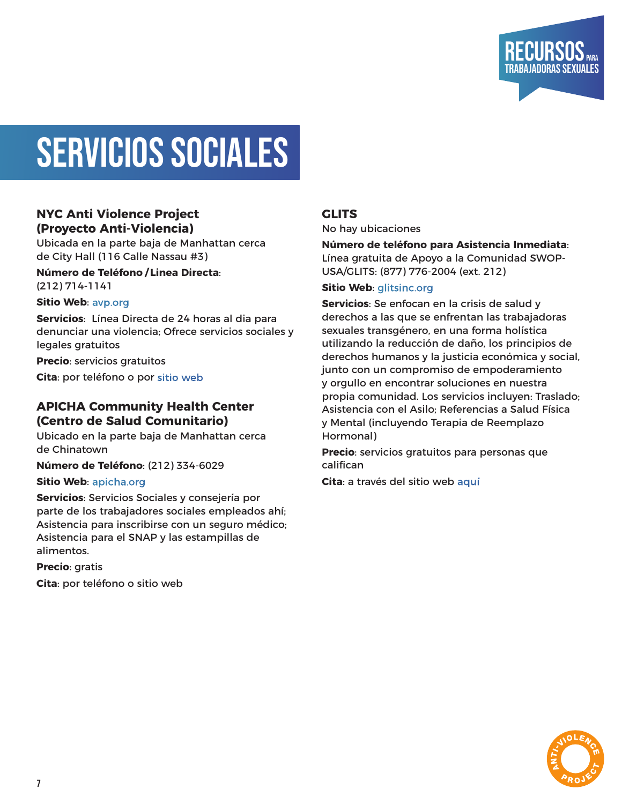

### SERVICIOS SOCIALES

#### **NYC Anti Violence Project (Proyecto Anti-Violencia)**

Ubicada en la parte baja de Manhattan cerca de City Hall (116 Calle Nassau #3)

#### **Número de Teléfono / Linea Directa**: (212) 714-1141

#### **Sitio Web**: [avp.org](http://avp.org)

**Servicios**: Línea Directa de 24 horas al dia para denunciar una violencia; Ofrece servicios sociales y legales gratuitos

**Precio**: servicios gratuitos

**Cita**: por teléfono o por [sitio web](https://avp.org/contact-us/)

#### **APICHA Community Health Center (Centro de Salud Comunitario)**

Ubicado en la parte baja de Manhattan cerca de Chinatown

**Número de Teléfono**: (212) 334-6029

#### **Sitio Web**: [apicha.org](http://apicha.org)

**Servicios**: Servicios Sociales y consejería por parte de los trabajadores sociales empleados ahí; Asistencia para inscribirse con un seguro médico; Asistencia para el SNAP y las estampillas de alimentos.

**Precio**: gratis

**Cita**: por teléfono o sitio web

#### **GLITS**

No hay ubicaciones

**Número de teléfono para Asistencia Inmediata**: Línea gratuita de Apoyo a la Comunidad SWOP-USA/GLITS: (877) 776-2004 (ext. 212)

#### **Sitio Web**: [glitsinc.org](http://glitsinc.org)

**Servicios**: Se enfocan en la crisis de salud y derechos a las que se enfrentan las trabajadoras sexuales transgénero, en una forma holística utilizando la reducción de daño, los principios de derechos humanos y la justicia económica y social, junto con un compromiso de empoderamiento y orgullo en encontrar soluciones en nuestra propia comunidad. Los servicios incluyen: Traslado; Asistencia con el Asilo; Referencias a Salud Física y Mental (incluyendo Terapia de Reemplazo Hormonal)

**Precio**: servicios gratuitos para personas que califican

**Cita**: a través del sitio web [aquí](https://www.glitsinc.org/contact-us)

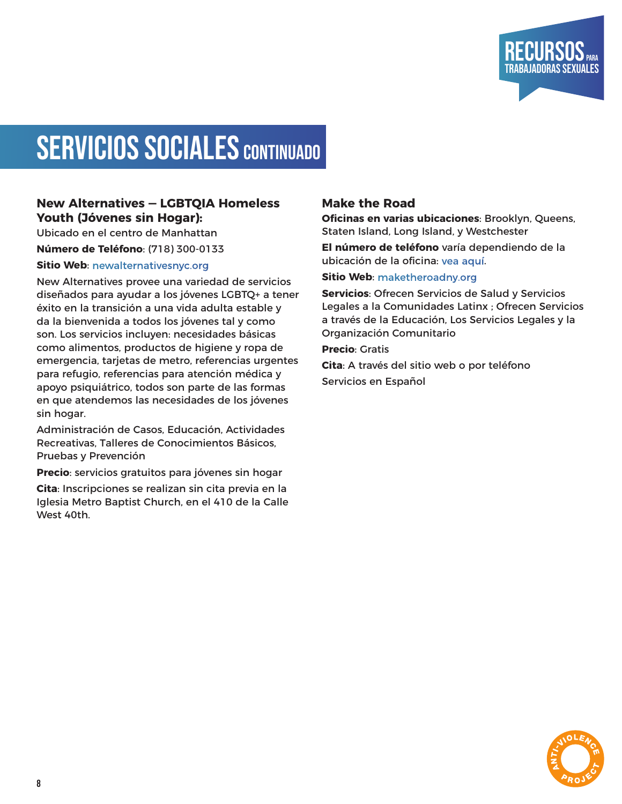

### SERVICIOS SOCIALES CONTINUADO

#### **New Alternatives — LGBTQIA Homeless Youth (Jóvenes sin Hogar):**

Ubicado en el centro de Manhattan

**Número de Teléfono**: (718) 300-0133

#### **Sitio Web: [newalternativesnyc.org](http://newalternativesnyc.org)**

New Alternatives provee una variedad de servicios diseñados para ayudar a los jóvenes LGBTQ+ a tener éxito en la transición a una vida adulta estable y da la bienvenida a todos los jóvenes tal y como son. Los servicios incluyen: necesidades básicas como alimentos, productos de higiene y ropa de emergencia, tarjetas de metro, referencias urgentes para refugio, referencias para atención médica y apoyo psiquiátrico, todos son parte de las formas en que atendemos las necesidades de los jóvenes sin hogar.

Administración de Casos, Educación, Actividades Recreativas, Talleres de Conocimientos Básicos, Pruebas y Prevención

**Precio**: servicios gratuitos para jóvenes sin hogar

**Cita**: Inscripciones se realizan sin cita previa en la Iglesia Metro Baptist Church, en el 410 de la Calle West 40th.

#### **Make the Road**

**Oficinas en varias ubicaciones**: Brooklyn, Queens, Staten Island, Long Island, y Westchester

**El número de teléfono** varía dependiendo de la ubicación de la oficina: [vea aquí.](https://maketheroadny.org/contact/)

#### **Sitio Web**: [maketheroadny.org](http://maketheroadny.org)

**Servicios**: Ofrecen Servicios de Salud y Servicios Legales a la Comunidades Latinx ; Ofrecen Servicios a través de la Educación, Los Servicios Legales y la Organización Comunitario

**Precio**: Gratis

**Cita**: A través del sitio web o por teléfono Servicios en Español